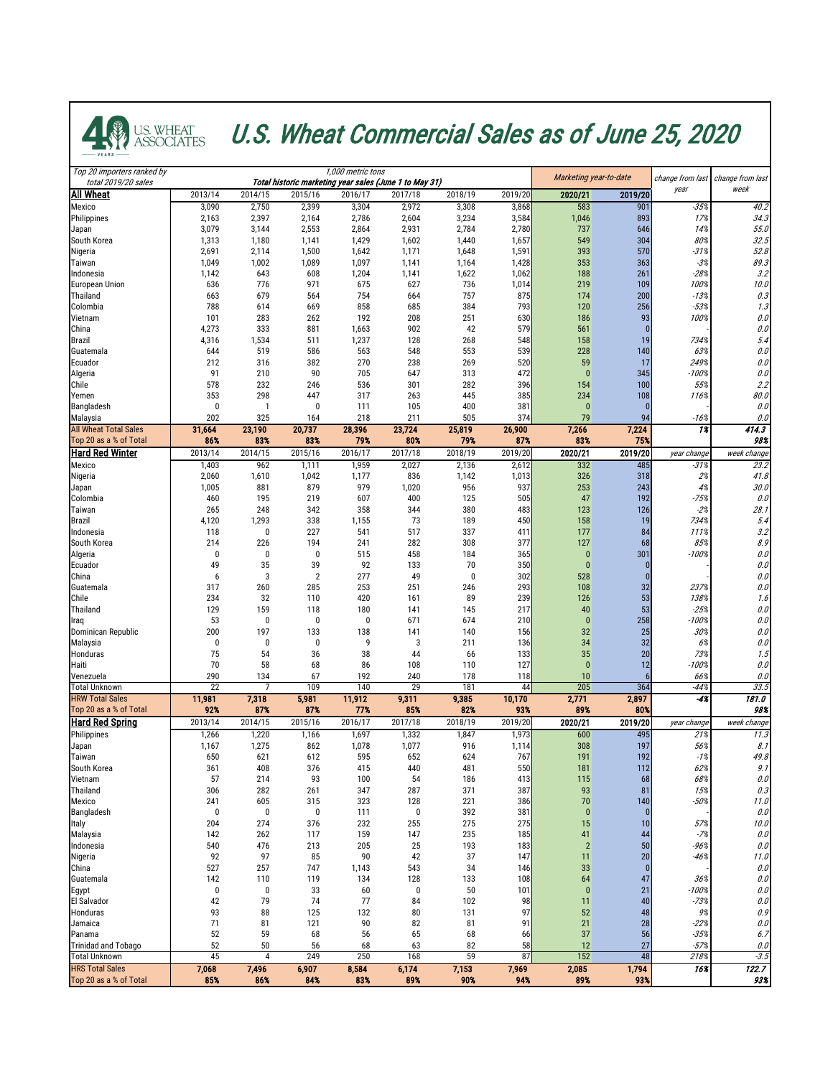

## U.S. WHEAT U.S. Wheat Commercial Sales as of June 25, 2020

| Top 20 importers ranked by<br>total 2019/20 sales |                        |                         | 1,000 metric tons<br>Total historic marketing year sales (June 1 to May 31) | Marketing year-to-date  |                         | change from last | change from last |                        |                       |                   |                    |
|---------------------------------------------------|------------------------|-------------------------|-----------------------------------------------------------------------------|-------------------------|-------------------------|------------------|------------------|------------------------|-----------------------|-------------------|--------------------|
| <b>All Wheat</b>                                  | 2013/14                | 2014/15                 | 2015/16                                                                     | 2016/17                 | 2017/18                 | 2018/19          | 2019/20          | 2020/21                | 2019/20               | year              | week               |
| <b>Mexico</b>                                     | 3,090                  | 2,750                   | 2,399                                                                       | 3,304                   | 2,972                   | 3,308            | 3,868            | 583                    | 901                   | $-35%$            | 40.2               |
| Philippines                                       | 2,163                  | 2,397                   | 2,164                                                                       | 2,786                   | 2,604                   | 3,234            | 3,584            | 1,046                  | 893                   | 17%               | 34.3               |
| Japan<br>South Korea                              | 3,079<br>1,313         | 3,144<br>1,180          | 2,553<br>1,141                                                              | 2,864<br>1,429          | 2,931<br>1,602          | 2,784<br>1,440   | 2,780<br>1,657   | 737<br>549             | 646<br>304            | 14%<br>80%        | 55.0<br>32.5       |
| Nigeria                                           | 2,691                  | 2,114                   | 1,500                                                                       | 1,642                   | 1,171                   | 1,648            | 1,591            | 393                    | 570                   | $-31%$            | 52.8               |
| Taiwan                                            | 1,049                  | 1,002                   | 1,089                                                                       | 1,097                   | 1,141                   | 1,164            | 1,428            | 353                    | 363                   | $-3%$             | 89.3               |
| Indonesia                                         | 1,142                  | 643                     | 608                                                                         | 1,204                   | 1,141                   | 1,622            | 1,062            | 188                    | 261                   | $-28%$            | 3.2                |
| <b>European Union</b><br><b>Thailand</b>          | 636<br>663             | 776<br>679              | 971<br>564                                                                  | 675<br>754              | 627<br>664              | 736<br>757       | 1,014<br>875     | 219<br>174             | 109<br>200            | 100%<br>$-13%$    | 10.0<br>0.3        |
| Colombia                                          | 788                    | 614                     | 669                                                                         | 858                     | 685                     | 384              | 793              | 120                    | 256                   | $-53%$            | 1.3                |
| Vietnam                                           | 101                    | 283                     | 262                                                                         | 192                     | 208                     | 251              | 630              | 186                    | 93                    | 100%              | 0.0                |
| China                                             | 4,273                  | 333                     | 881                                                                         | 1,663                   | 902                     | 42               | 579              | 561                    |                       |                   | 0.0                |
| <b>Brazil</b>                                     | 4,316                  | 1,534                   | 511                                                                         | 1,237                   | 128                     | 268              | 548              | 158                    | 19                    | 734%              | 5.4                |
| Guatemala<br>Ecuador                              | 644<br>212             | 519<br>316              | 586<br>382                                                                  | 563<br>270              | 548<br>238              | 553<br>269       | 539<br>520       | 228<br>59              | 140<br>17             | 63%<br>249%       | 0.0<br>0.0         |
| Algeria                                           | 91                     | 210                     | 90                                                                          | 705                     | 647                     | 313              | 472              | $\overline{0}$         | 345                   | $-100%$           | 0.0                |
| Chile                                             | 578                    | 232                     | 246                                                                         | 536                     | 301                     | 282              | 396              | 154                    | 100                   | 55%               | 2.2                |
| Yemen                                             | 353                    | 298                     | 447                                                                         | 317                     | 263                     | 445              | 385              | 234                    | 108                   | 116%              | 80.0               |
| Bangladesh                                        |                        |                         | 0                                                                           | 111                     | 105                     | 400              | 381<br>374       | $\mathbf{0}$           |                       |                   | 0.0                |
| Malaysia<br><b>All Wheat Total Sales</b>          | 202<br>31,664          | 325<br>23,190           | 164<br>20,737                                                               | 218<br>28,396           | 211<br>23,724           | 505<br>25,819    | 26,900           | 79<br>7,266            | 94<br>7,224           | $-16%$<br>1%      | 0.0<br>414.3       |
| Top 20 as a % of Total                            | 86%                    | 83%                     | 83%                                                                         | 79%                     | 80%                     | 79%              | 87%              | 83%                    | 75%                   |                   | 98%                |
| <b>Hard Red Winter</b>                            | 2013/14                | 2014/15                 | 2015/16                                                                     | 2016/17                 | 2017/18                 | 2018/19          | 2019/20          | 2020/21                | 2019/20               | year change       | week change        |
| <b>Mexico</b>                                     | 1,403                  | 962                     | 1,111                                                                       | 1,959                   | 2,027                   | 2,136            | 2,612            | 332                    | 485                   | $-31%$            | 23.2               |
| Nigeria<br>Japan                                  | 2,060<br>1,005         | 1,610<br>881            | 1,042<br>879                                                                | 1,177<br>979            | 836<br>1,020            | 1,142<br>956     | 1,013<br>937     | 326<br>253             | 318<br>243            | 2%<br>4%          | 41.8<br>30.0       |
| Colombia                                          | 460                    | 195                     | 219                                                                         | 607                     | 400                     | 125              | 505              | 47                     | 192                   | $-75%$            | 0.0                |
| Taiwan                                            | 265                    | 248                     | 342                                                                         | 358                     | 344                     | 380              | 483              | 123                    | 126                   | $-2%$             | 28.1               |
| Brazil                                            | 4,120                  | 1,293                   | 338                                                                         | 1,155                   | 73                      | 189              | 450              | 158                    | 19                    | 734%              | 5.4                |
| Indonesia                                         | 118                    | 0                       | 227                                                                         | 541                     | 517                     | 337              | 411              | 177                    | 84                    | 111%              | 3.2                |
| South Korea<br>Algeria                            | 214<br>0               | 226<br>0                | 194<br>$\boldsymbol{0}$                                                     | 241<br>515              | 282<br>458              | 308<br>184       | 377<br>365       | 127                    | 68<br>301             | 85%<br>$-100%$    | 8.9<br>0.0         |
| Ecuador                                           | 49                     | 35                      | 39                                                                          | 92                      | 133                     | 70               | 350              |                        |                       |                   | $0.0$              |
| China                                             | 6                      | 3                       | $\overline{2}$                                                              | 277                     | 49                      | 0                | 302              | 528                    |                       |                   | 0.0                |
| Guatemala                                         | 317                    | 260                     | 285                                                                         | 253                     | 251                     | 246              | 293              | 108                    | 32                    | 237%              | 0.0                |
| Chile                                             | 234                    | 32                      | 110                                                                         | 420                     | 161                     | 89               | 239              | 126                    | 53                    | 138%              | 1.6                |
| Thailand<br>Iraq                                  | 129<br>53              | 159<br>$\boldsymbol{0}$ | 118<br>0                                                                    | 180<br>$\boldsymbol{0}$ | 141<br>671              | 145<br>674       | 217<br>210       | 40<br>$\boldsymbol{0}$ | 53<br>258             | $-25%$<br>$-100%$ | $0.0$<br>0.0       |
| Dominican Republic                                | 200                    | 197                     | 133                                                                         | 138                     | 141                     | 140              | 156              | 32                     | 25                    | 30%               | 0.0                |
| <b>Malaysia</b>                                   |                        | $\boldsymbol{0}$        | $\bf{0}$                                                                    | 9                       | 3                       | 211              | 136              | 34                     | 32                    | 6%                | 0.0                |
| Honduras                                          | 75                     | 54                      | 36                                                                          | 38                      | 44                      | 66               | 133              | 35                     | 20                    | 73%               | 1.5                |
| <b>Haiti</b>                                      | 70                     | 58                      | 68                                                                          | 86                      | 108                     | 110              | 127              | $\mathbf{0}$           | 12                    | $-100%$           | 0.0                |
| Venezuela<br><b>Total Unknown</b>                 | 290<br>$\overline{22}$ | 134                     | 67<br>109                                                                   | 192<br>140              | 240<br>29               | 178<br>181       | 118<br> 44       | 10<br>205              | 364                   | 66%<br>$-44%$     | $0.0$<br>33.5      |
| <b>HRW Total Sales</b>                            | 11,981                 | 7,318                   | 5,981                                                                       | 11,912                  | 9,311                   | 9,385            | 10,170           | 2,771                  | 2,897                 | $-4%$             | $\overline{181.0}$ |
| Top 20 as a % of Total                            | 92%                    | 87%                     | 87%                                                                         | 77%                     | 85%                     | 82%              | 93%              | 89%                    | 80%                   |                   | 98%                |
| <b>Hard Red Spring</b>                            | 2013/14                | 2014/15                 | 2015/16                                                                     | 2016/17                 | 2017/18                 | 2018/19          | 2019/20          | 2020/21                | 2019/20               | year change       | week change        |
| Philippines<br>Japan                              | 1,266<br>1,167         | 1,220<br>1,275          | 1,166<br>862                                                                | 1,697<br>1,078          | 1,332<br>1,077          | 1,847<br>916     | 1,973<br>1,114   | 600<br>308             | 495<br>197            | 21%<br>56%        | 11.3<br>8.1        |
| <b>Taiwan</b>                                     | 650                    | 621                     | 612                                                                         | 595                     | 652                     | 624              | 767              | 191                    | 192                   | $-1%$             | 49.8               |
| South Korea                                       | 361                    | 408                     | 376                                                                         | 415                     | 440                     | 481              | 550              | 181                    | 112                   | 62%               | 9.1                |
| Vietnam                                           | 57                     | 214                     | 93                                                                          | 100                     | 54                      | 186              | 413              | 115                    | 68                    | 68%               | 0.0                |
| Thailand                                          | 306                    | 282                     | 261                                                                         | 347                     | 287                     | 371              | 387              | 93                     | 81                    | 15%               | 0.3                |
| <b>Mexico</b><br><b>Bangladesh</b>                | 241                    | 605<br>0                | 315<br>0                                                                    | 323<br>111              | 128<br>$\boldsymbol{0}$ | 221<br>392       | 386<br>381       | 70<br>$\bf{0}$         | 140<br>$\overline{0}$ | $-50%$            | 11.0<br>0.0        |
| Italy                                             | 204                    | 274                     | 376                                                                         | 232                     | 255                     | 275              | 275              | 15                     | 10                    | 57%               | 10.0               |
| Malaysia                                          | 142                    | 262                     | 117                                                                         | 159                     | 147                     | 235              | 185              | 41                     | 44                    | $-7%$             | 0.0                |
| Indonesia                                         | 540                    | 476                     | 213                                                                         | 205                     | 25                      | 193              | 183              | $\overline{2}$         | 50                    | -96%              | 0.0                |
| Nigeria<br>China                                  | 92<br>527              | 97<br>257               | 85<br>747                                                                   | 90<br>1,143             | 42<br>543               | 37<br>34         | 147<br>146       | 11<br>33               | 20                    | $-46%$            | 11.0<br>0.0        |
| Guatemala                                         | 142                    | 110                     | 119                                                                         | 134                     | 128                     | 133              | 108              | 64                     | 47                    | 36%               | 0.0                |
| Egypt                                             | 0                      | 0                       | 33                                                                          | 60                      | 0                       | 50               | 101              |                        | 21                    | $-100%$           | $0.0$              |
| El Salvador                                       | 42                     | 79                      | 74                                                                          | 77                      | 84                      | 102              | 98               | 11                     | 40                    | $-73%$            | 0.0                |
| Honduras                                          | 93                     | 88                      | 125                                                                         | 132                     | 80                      | 131              | 97               | 52                     | 48                    | 9%                | 0.9                |
| Jamaica<br>Panama                                 | 71<br>52               | 81<br>59                | 121<br>68                                                                   | 90<br>56                | 82<br>65                | 81<br>68         | 91<br>66         | 21<br>37               | 28<br>56              | $-22%$<br>$-35%$  | 0.0<br>6.7         |
| <b>Trinidad and Tobago</b>                        | 52                     | 50                      | 56                                                                          | 68                      | 63                      | 82               | 58               | 12                     | 27                    | $-57%$            | 0.0                |
| <b>Total Unknown</b>                              | 45                     | $\overline{4}$          | 249                                                                         | 250                     | 168                     | 59               | $\overline{37}$  | 152                    | 48                    | 218%              | $-3.5$             |
| <b>HRS Total Sales</b>                            | 7,068                  | 7,496                   | 6,907                                                                       | 8,584                   | 6,174                   | 7,153            | 7,969            | 2,085                  | 1,794                 | 16%               | 122.7              |
| Top 20 as a % of Total                            | 85%                    | 86%                     | 84%                                                                         | 83%                     | 89%                     | 90%              | 94%              | 89%                    | 93%                   |                   | 93%                |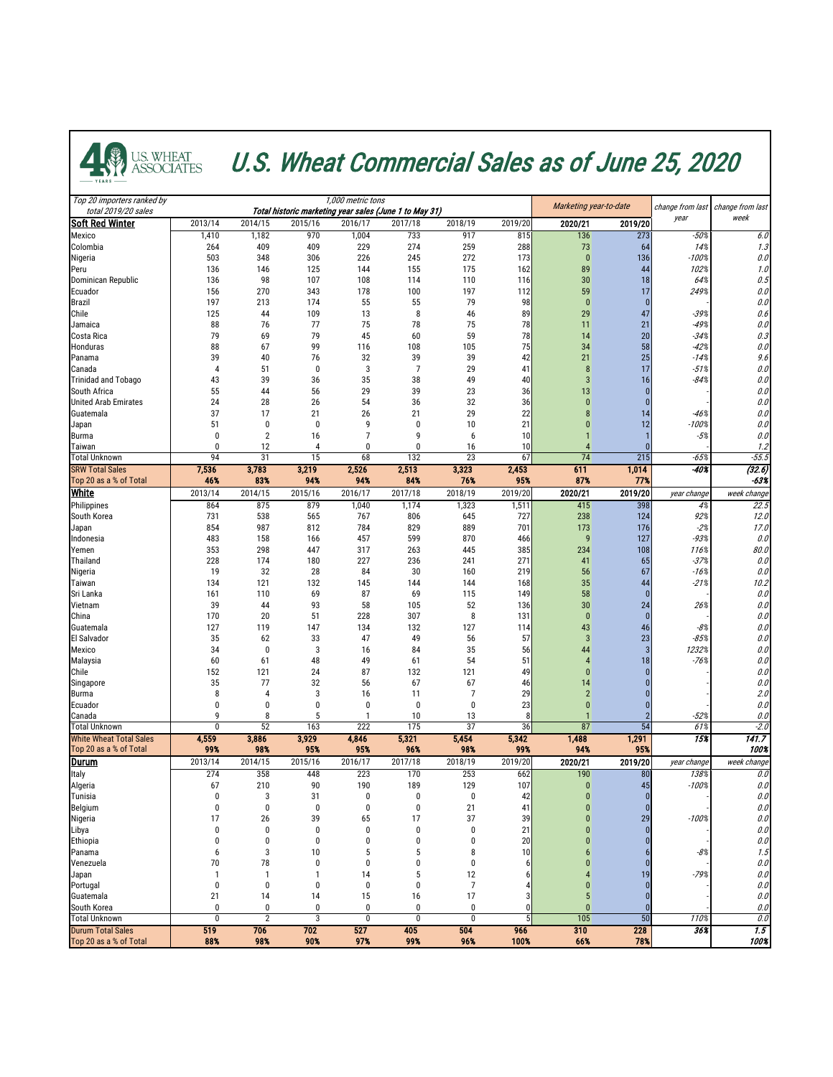

## **4. WARE ALSO WHEAT U.S. Wheat Commercial Sales as of June 25, 2020**

| Top 20 importers ranked by<br>total 2019/20 sales        |                  |                  |              | 1,000 metric tons<br>Total historic marketing year sales (June 1 to May 31) | Marketing year-to-date |              | change from last | change from last  |                 |                  |                            |
|----------------------------------------------------------|------------------|------------------|--------------|-----------------------------------------------------------------------------|------------------------|--------------|------------------|-------------------|-----------------|------------------|----------------------------|
| <b>Soft Red Winter</b>                                   | 2013/14          | 2014/15          | 2015/16      | 2016/17                                                                     | 2017/18                | 2018/19      | 2019/20          | 2020/21           | 2019/20         | year             | week                       |
| <b>Mexico</b>                                            | 1,410            | 1,182            | 970          | 1,004                                                                       | 733                    | 917          | 815              | 136               | 273             | $-50%$           | 6.0                        |
| Colombia                                                 | 264              | 409              | 409          | 229                                                                         | 274                    | 259          | 288              | 73                | 64              | 14%              | 1.3                        |
| Nigeria                                                  | 503              | 348              | 306          | 226                                                                         | 245                    | 272          | 173              | $\boldsymbol{0}$  | 136             | $-100%$          | 0.0                        |
| Peru                                                     | 136<br>136       | 146              | 125          | 144<br>108                                                                  | 155                    | 175          | 162              | 89                | 44              | 102%<br>64%      | 1.0                        |
| Dominican Republic<br>Ecuador                            | 156              | 98<br>270        | 107<br>343   | 178                                                                         | 114<br>100             | 110<br>197   | 116<br>112       | 30<br>59          | 18<br>17        | 249%             | 0.5<br>0.0                 |
| <b>Brazil</b>                                            | 197              | 213              | 174          | 55                                                                          | 55                     | 79           | 98               | $\mathbf{0}$      |                 |                  | 0.0                        |
| Chile                                                    | 125              | 44               | 109          | 13                                                                          | 8                      | 46           | 89               | 29                | 47              | $-39%$           | 0.6                        |
| Jamaica                                                  | 88               | 76               | 77           | 75                                                                          | 78                     | 75           | 78               | 11                | 21              | $-49%$           | 0.0                        |
| Costa Rica                                               | 79               | 69               | 79           | 45                                                                          | 60                     | 59           | 78               | 14                | 20              | $-34%$           | 0.3                        |
| <b>Honduras</b>                                          | 88               | 67               | 99           | 116                                                                         | 108                    | 105          | 75               | 34                | 58              | $-42%$           | 0.0                        |
| Panama                                                   | 39               | 40               | 76           | 32                                                                          | 39                     | 39           | 42               | 21                | 25              | $-14%$           | 9.6                        |
| Canada<br><b>Trinidad and Tobago</b>                     | 43               | 51<br>39         | 0<br>36      | 3<br>35                                                                     | 38                     | 29<br>49     | 41<br>40         | 8<br>$\mathbf{3}$ | 17<br>16        | $-51%$<br>$-84%$ | 0.0<br>0.0                 |
| <b>South Africa</b>                                      | 55               | 44               | 56           | 29                                                                          | 39                     | 23           | 36               | 13                |                 |                  | 0.0                        |
| <b>United Arab Emirates</b>                              | 24               | 28               | 26           | 54                                                                          | 36                     | 32           | 36               |                   |                 |                  | 0.0                        |
| Guatemala                                                | 37               | 17               | 21           | 26                                                                          | 21                     | 29           | 22               | 8                 | 14              | $-46%$           | 0.0                        |
| Japan                                                    | 51               | $\boldsymbol{0}$ | 0            |                                                                             | $\Omega$               | 10           | 21               |                   | 12              | $-100%$          | 0.0                        |
| <b>Burma</b>                                             |                  | $\overline{2}$   | 16           |                                                                             | q                      | 6            | 10               |                   |                 | $-5%$            | 0.0                        |
| Taiwan                                                   |                  | 12               |              |                                                                             | $\Omega$               | 16           | 10               |                   |                 |                  | 1.2                        |
| <b>Total Unknown</b><br><b>SRW Total Sales</b>           | 94<br>7,536      | 31<br>3,783      | 15<br>3,219  | 68<br>2,526                                                                 | 132<br>2,513           | 23<br>3,323  | 67<br>2,453      | 74<br>611         | 215<br>1,014    | $-65%$<br>$-40%$ | $-55.5$<br>(32.6)          |
| Top 20 as a % of Total                                   | 46%              | 83%              | 94%          | 94%                                                                         | 84%                    | 76%          | 95%              | 87%               | 77%             |                  | $-63%$                     |
| <b>White</b>                                             | 2013/14          | 2014/15          | 2015/16      | 2016/17                                                                     | 2017/18                | 2018/19      | 2019/20          | 2020/21           | 2019/20         | year change      | week change                |
| Philippines                                              | 864              | 875              | 879          | 1,040                                                                       | 1,174                  | 1,323        | 1,511            | 415               | 398             | 4%               | 22.5                       |
| South Korea                                              | 731              | 538              | 565          | 767                                                                         | 806                    | 645          | 727              | 238               | 124             | 92%              | 12.0                       |
| Japan                                                    | 854              | 987              | 812          | 784                                                                         | 829                    | 889          | 701              | 173               | 176             | $-2%$            | 17.0                       |
| Indonesia                                                | 483              | 158              | 166          | 457                                                                         | 599                    | 870          | 466              | 9                 | 127             | $-93%$           | 0.0                        |
| Yemen                                                    | 353              | 298              | 447          | 317                                                                         | 263                    | 445          | 385              | 234               | 108             | 116%             | 80.0                       |
| Thailand<br>Nigeria                                      | 228<br>19        | 174<br>32        | 180<br>28    | 227<br>84                                                                   | 236<br>30              | 241<br>160   | 271<br>219       | 41<br>56          | 65<br>67        | $-37%$<br>$-16%$ | 0.0<br>$0.0$               |
| Taiwan                                                   | 134              | 121              | 132          | 145                                                                         | 144                    | 144          | 168              | 35                | 44              | $-21%$           | 10.2                       |
| Sri Lanka                                                | 161              | 110              | 69           | 87                                                                          | 69                     | 115          | 149              | 58                |                 |                  | 0.0                        |
| Vietnam                                                  | 39               | 44               | 93           | 58                                                                          | 105                    | 52           | 136              | 30 <sup>°</sup>   | 24              | 26%              | $0.0$                      |
| China                                                    | 170              | 20               | 51           | 228                                                                         | 307                    | 8            | 131              | $\bf{0}$          |                 |                  | $0.0$                      |
| Guatemala                                                | 127              | 119              | 147          | 134                                                                         | 132                    | 127          | 114              | 43                | 46              | $-8%$            | 0.0                        |
| <b>El Salvador</b>                                       | 35               | 62               | 33           | 47                                                                          | 49                     | 56           | 57               | $\mathbf{3}$      | 23              | $-85%$           | 0.0                        |
| Mexico                                                   | 34               | $\boldsymbol{0}$ | 3            | 16                                                                          | 84                     | 35           | 56               | 44                |                 | 1232%            | 0.0                        |
| Malaysia<br>Chile                                        | 60<br>152        | 61<br>121        | 48<br>24     | 49<br>87                                                                    | 61<br>132              | 54<br>121    | 51<br>49         |                   | 18              | $-76%$           | 0.0<br>$0.0$               |
| Singapore                                                | 35               | 77               | 32           | 56                                                                          | 67                     | 67           | 46               | 14                |                 |                  | 0.0                        |
| <b>Burma</b>                                             |                  |                  | 3            | 16                                                                          | 11                     |              | 29               |                   |                 |                  | 2.0                        |
| Ecuador                                                  |                  | 0                |              |                                                                             | $\bigcap$              |              | 23               |                   |                 |                  | 0.0                        |
| Canada                                                   |                  | 8                |              |                                                                             | 10                     | 13           |                  |                   |                 | $-52%$           | 0.0                        |
| <b>Total Unknown</b>                                     | $\boldsymbol{0}$ | 52               | 163          | 222                                                                         | 175                    | 37           | 36               | 87                | $\overline{54}$ | 61%              | $-2.0$                     |
| <b>White Wheat Total Sales</b><br>Top 20 as a % of Total | 4,559<br>99%     | 3,886<br>98%     | 3,929<br>95% | 4,846<br>95%                                                                | 5,321<br>96%           | 5,454<br>98% | 5,342<br>99%     | 1,488<br>94%      | 1,291<br>95%    | 15%              | $\overline{141.7}$<br>100% |
| <u> Durum</u>                                            | 2013/14          | 2014/15          | 2015/16      | 2016/17                                                                     | 2017/18                | 2018/19      | 2019/20          | 2020/21           | 2019/20         | year change      | week change                |
| Italy                                                    | 274              | 358              | 448          | 223                                                                         | 170                    | 253          | 662              | 190               | 80              | 138%             | 0.0                        |
| Algeria                                                  | 67               | 210              | 90           | 190                                                                         | 189                    | 129          | 107              | $\theta$          | 45              | $-100%$          | 0.0                        |
| Tunisia                                                  |                  | 3                | 31           |                                                                             |                        |              | 42               |                   |                 |                  | $0.0$                      |
| <b>Belgium</b>                                           |                  | 0                | 0            |                                                                             | $\sqrt{ }$             | 21           | 41               |                   |                 |                  | 0.0                        |
| Nigeria                                                  | 17               | 26               | 39           | 65                                                                          | 17                     | 37           | 39               |                   | 29              | $-100%$          | 0.0                        |
| Libya<br>Ethiopia                                        |                  | $\bf{0}$         | 0<br>0       | $\boldsymbol{0}$                                                            | $\boldsymbol{0}$       |              | 21<br>20         | $\bf{0}$          |                 |                  | $0.0\,$<br>0.0             |
| Panama                                                   |                  | 3                | $10$         |                                                                             |                        |              | 10 <sup>1</sup>  |                   |                 | $-8\%$           | 1.5                        |
| Venezuela                                                | 70               | 78               |              |                                                                             |                        |              |                  |                   |                 |                  | 0.0                        |
| Japan                                                    |                  |                  |              | 14                                                                          |                        | 12           |                  |                   | 19              | $-79%$           | 0.0                        |
| Portugal                                                 |                  | 0                |              |                                                                             |                        |              |                  |                   |                 |                  | $0.0$                      |
| Guatemala                                                | 21               | 14               | 14           | 15                                                                          | 16                     | 17           |                  |                   |                 |                  | 0.0                        |
| South Korea                                              |                  | $\boldsymbol{0}$ | 0            | $\theta$                                                                    | $\boldsymbol{0}$       |              |                  |                   |                 |                  | 0.0                        |
| <b>Total Unknown</b>                                     | $\mathbf{0}$     | $\overline{2}$   | 3            | $\bf{0}$                                                                    | $\bf{0}$               | 0            |                  | 105               | 50              | 110%             | 0.0                        |
| <b>Durum Total Sales</b><br>Top 20 as a % of Total       | 519<br>88%       | 706<br>98%       | 702<br>90%   | 527<br>97%                                                                  | 405<br>99%             | 504<br>96%   | 966<br>100%      | 310<br>66%        | 228<br>78%      | 36%              | 1.5<br>100%                |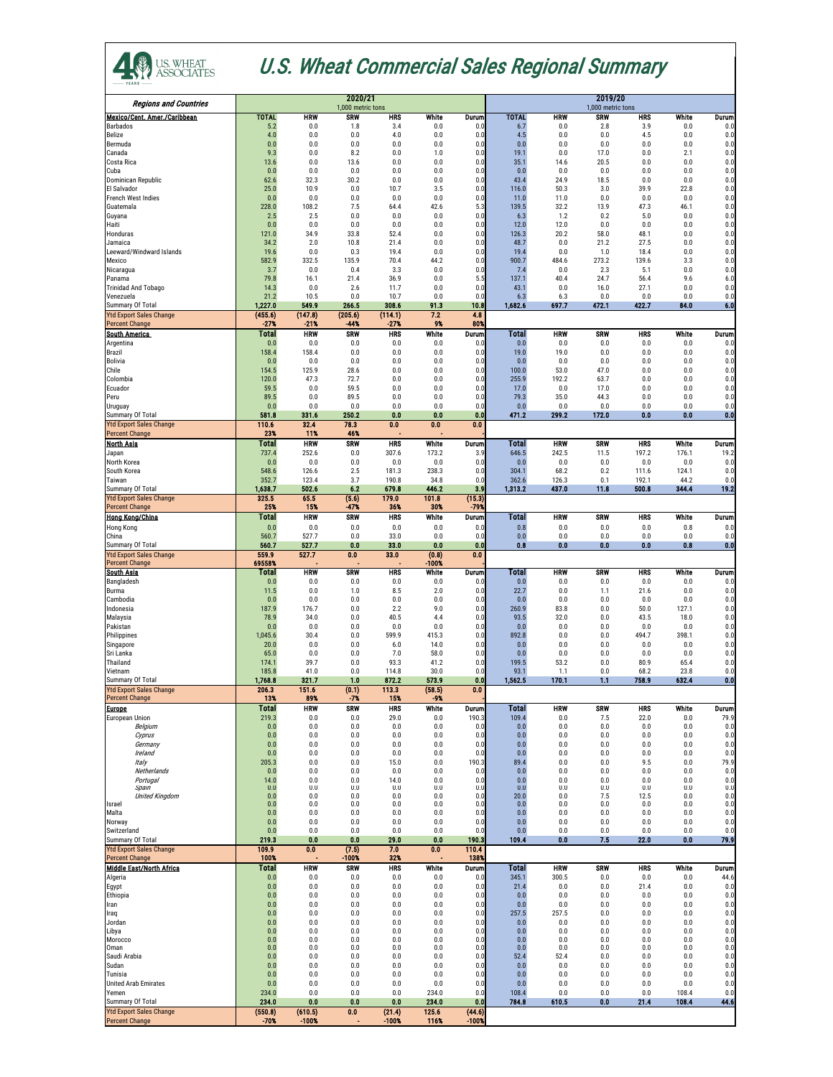| <b>Regions and Countries</b>                              |                     |                   | 2020/21<br>1,000 metric tons |                   |                  | 2019/20<br>1,000 metric tons |                       |               |              |              |                |                  |
|-----------------------------------------------------------|---------------------|-------------------|------------------------------|-------------------|------------------|------------------------------|-----------------------|---------------|--------------|--------------|----------------|------------------|
| Mexico/Cent. Amer./Caribbean                              | <b>TOTAL</b>        | <b>HRW</b>        | <b>SRW</b>                   | <b>HRS</b>        | <b>White</b>     | Durum                        | <b>TOTAL</b>          | <b>HRW</b>    | <b>SRW</b>   | <b>HRS</b>   | <b>White</b>   | Durum            |
| <b>Barbados</b><br><b>Belize</b>                          | 5.2<br>4.0          | 0.0<br>0.0        | 1.8<br>0.0                   | 3.4<br>4.0        | 0.0<br>0.0       | 0.0<br>0.0                   | 6.7<br>4.5            | 0.0<br>0.0    | 2.8<br>0.0   | 3.9<br>4.5   | 0.0<br>0.0     | 0.0<br>0.0       |
| Bermuda                                                   | 0.0                 | 0.0               | 0.0                          | 0.0               | 0.0              | 0.0                          | 0.0                   | 0.0           | 0.0          | 0.0          | 0.0            | 0.0              |
| Canada<br><b>Costa Rica</b>                               | 9.3<br>13.6         | 0.0<br>0.0        | 8.2<br>13.6                  | 0.0<br>0.0        | 1.0<br>0.0       | 0.0<br>0.0                   | 19.1<br>35.1          | 0.0<br>14.6   | 17.0<br>20.5 | 0.0<br>0.0   | 2.1<br>0.0     | 0.0<br>0.0       |
| Cuba                                                      | 0.0                 | 0.0               | 0.0                          | 0.0               | 0.0              | 0.0                          | 0.0                   | 0.0           | 0.0          | 0.0          | 0.0            | 0.0              |
| Dominican Republic<br><b>El Salvador</b>                  | 62.6<br>25.0        | 32.3<br>10.9      | 30.2<br>0.0                  | 0.0<br>10.7       | 0.0<br>3.5       | 0.0<br>0.0                   | 43.4<br>116.0         | 24.9<br>50.3  | 18.5<br>3.0  | 0.0<br>39.9  | 0.0<br>22.8    | 0.0<br>0.0       |
| <b>French West Indies</b>                                 | 0.0                 | 0.0               | 0.0                          | 0.0               | 0.0              | 0.0                          | 11.0                  | 11.0          | 0.0          | 0.0          | 0.0            | 0.0              |
| Guatemala<br>Guyana                                       | 228.0<br>2.5        | 108.2<br>2.5      | 7.5<br>0.0                   | 64.4<br>0.0       | 42.6<br>0.0      | 5.3<br>0.0                   | 139.5<br>6.3          | 32.2<br>1.2   | 13.9<br>0.2  | 47.3<br>5.0  | 46.1<br>0.0    | 0.0<br>0.0       |
| Haiti                                                     | 0.0                 | 0.0               | 0.0                          | 0.0               | 0.0              | 0.0                          | 12.0                  | 12.0          | 0.0          | 0.0          | 0.0            | 0.0              |
| Honduras<br>Jamaica                                       | 121.0<br>34.2       | 34.9<br>2.0       | 33.8<br>10.8                 | 52.4<br>21.4      | 0.0<br>0.0       | 0.0<br>0.0                   | 126.3<br>48.7         | 20.2<br>0.0   | 58.0<br>21.2 | 48.1<br>27.5 | 0.0<br>0.0     | 0.0<br>0.0       |
| Leeward/Windward Islands                                  | 19.6                | 0.0               | 0.3                          | 19.4              | 0.0              | 0.0                          | 19.4                  | 0.0           | 1.0          | 18.4         | 0.0            | 0.0              |
| <b>Mexico</b><br>Nicaragua                                | 582.9<br>3.7        | 332.5<br>0.0      | 135.9<br>0.4                 | 70.4<br>3.3       | 44.2<br>0.0      | 0.0<br>0.0                   | 900.7<br>7.4          | 484.6<br>0.0  | 273.2<br>2.3 | 139.6<br>5.1 | 3.3<br>0.0     | 0.0<br>0.0       |
| Panama                                                    | 79.8                | 16.1              | 21.4                         | 36.9              | 0.0              | 5.5                          | 137.1                 | 40.4          | 24.7         | 56.4         | 9.6            | 6.0              |
| <b>Trinidad And Tobago</b><br>Venezuela                   | 14.3<br>21.2        | 0.0<br>10.5       | 2.6<br>0.0                   | 11.7<br>10.7      | 0.0<br>0.0       | 0.0<br>0.0                   | 43.1<br>6.3           | 0.0<br>6.3    | 16.0<br>0.0  | 27.1<br>0.0  | 0.0<br>0.0     | 0.0<br>0.0       |
| <b>Summary Of Total</b>                                   | 1,227.0             | 549.9             | 266.5                        | 308.6             | 91.3             | 10.8                         | 1,682.6               | 697.7         | 472.1        | 422.7        | 84.0           | 6.0              |
| <b>Ytd Export Sales Change</b><br><b>Percent Change</b>   | (455.6)<br>$-27%$   | (147.8)<br>$-21%$ | (205.6)<br>$-44%$            | (114.1)<br>$-27%$ | 7.2<br>9%        | 4.8<br>80%                   |                       |               |              |              |                |                  |
| <b>South America</b>                                      | Total               | <b>HRW</b>        | <b>SRW</b>                   | <b>HRS</b>        | White            | Durum                        | <b>Total</b>          | <b>HRW</b>    | <b>SRW</b>   | <b>HRS</b>   | White          | Durum)           |
| Argentina<br>Brazil                                       | 0.0<br>158.4        | 0.0<br>158.4      | 0.0<br>0.0                   | 0.0<br>0.0        | 0.0<br>0.0       | 0.0<br>0.0                   | 0.0<br>19.0           | 0.0<br>19.0   | 0.0<br>0.0   | 0.0<br>0.0   | 0.0<br>0.0     | 0.0<br>0.0       |
| <b>Bolivia</b>                                            | 0.0                 | 0.0               | 0.0                          | 0.0               | 0.0              | 0.0                          | 0.0                   | 0.0           | 0.0          | 0.0          | 0.0            | 0.0              |
| Chile<br>Colombia                                         | 154.5<br>120.0      | 125.9<br>47.3     | 28.6<br>72.7                 | 0.0<br>0.0        | 0.0<br>0.0       | 0.0<br>0.0                   | 100.0<br>255.9        | 53.0<br>192.2 | 47.0<br>63.7 | 0.0<br>0.0   | 0.0<br>0.0     | 0.0<br>0.0       |
| Ecuador                                                   | 59.5                | 0.0               | 59.5                         | 0.0               | 0.0              | 0.0                          | 17.0                  | 0.0           | 17.0         | 0.0          | 0.0            | 0.0              |
| Peru                                                      | 89.5                | 0.0<br>0.0        | 89.5<br>0.0                  | 0.0<br>0.0        | 0.0<br>0.0       | 0.0                          | 79.3<br>0.0           | 35.0<br>0.0   | 44.3<br>0.0  | 0.0          | 0.0<br>0.0     | 0.0              |
| <b>Uruguay</b><br><b>Summary Of Total</b>                 | 0.0<br>581.8        | 331.6             | 250.2                        | 0.0               | 0.0              | 0.0<br>0.0                   | 471.2                 | 299.2         | 172.0        | 0.0<br>0.0   | 0.0            | 0.0<br>0.0       |
| <b>Ytd Export Sales Change</b>                            | 110.6               | 32.4              | 78.3                         | 0.0               | 0.0              | 0.0                          |                       |               |              |              |                |                  |
| <b>Percent Change</b><br><b>North Asia</b>                | 23%<br><b>Total</b> | 11%<br><b>HRW</b> | 46%<br><b>SRW</b>            | <b>HRS</b>        | White            | Durum                        | <b>Total</b>          | <b>HRW</b>    | <b>SRW</b>   | <b>HRS</b>   | White          | Durum            |
| Japan                                                     | 737.4               | 252.6             | 0.0                          | 307.6             | 173.2            | 3.9                          | 646.5                 | 242.5         | 11.5         | 197.2        | 176.1          | 19.2             |
| North Korea<br>South Korea                                | 0.0<br>548.6        | 0.0<br>126.6      | 0.0<br>2.5                   | 0.0<br>181.3      | 0.0<br>238.3     | 0.0<br>0.0                   | 0.0<br>304.1          | 0.0<br>68.2   | 0.0<br>0.2   | 0.0<br>111.6 | 0.0<br>124.1   | 0.0<br>0.0       |
| Taiwan                                                    | 352.7               | 123.4             | 3.7                          | 190.8             | 34.8             | 0.0                          | 362.6                 | 126.3         | 0.1          | 192.1        | 44.2           | 0.0              |
| <b>Summary Of Total</b><br><b>Ytd Export Sales Change</b> | 1,638.7<br>325.5    | 502.6<br>65.5     | 6.2<br>(5.6)                 | 679.8<br>179.0    | 446.2<br>101.8   | 3.9<br>(15.3)                | 1,313.2               | 437.0         | 11.8         | 500.8        | 344.4          | 19.2             |
| <b>Percent Change</b>                                     | 25%                 | 15%               | $-47%$                       | 36%               | 30%              | $-79%$                       |                       |               |              |              |                |                  |
| <b>Hong Kong/China</b>                                    | <b>Total</b>        | <b>HRW</b>        | <b>SRW</b>                   | <b>HRS</b>        | White            | Durum                        | <b>Total</b>          | <b>HRW</b>    | <b>SRW</b>   | <b>HRS</b>   | White          | Durum            |
| <b>Hong Kong</b><br>China                                 | 0.0<br>560.7        | 0.0<br>527.7      | 0.0<br>0.0                   | 0.0<br>33.0       | 0.0<br>0.0       | 0.0<br>0.0                   | 0.8<br>0.0            | 0.0<br>0.0    | 0.0<br>0.0   | 0.0<br>0.0   | 0.8<br>0.0     | 0.0<br>0.0       |
| <b>Summary Of Total</b>                                   | 560.7               | 527.7             | 0.0                          | 33.0              | 0.0              | 0.0                          | 0.8                   | 0.0           | 0.0          | 0.0          | 0.8            | $\overline{0.0}$ |
| <b>Ytd Export Sales Change</b><br><b>Percent Change</b>   | 559.9<br>69558%     | 527.7             | 0.0                          | 33.0              | (0.8)<br>$-100%$ | 0.0                          |                       |               |              |              |                |                  |
| <b>South Asia</b>                                         | Total               | <b>HRW</b>        | <b>SRW</b>                   | <b>HRS</b>        | <b>White</b>     | <b>Durum</b>                 | Total                 | <b>HRW</b>    | <b>SRW</b>   | <b>HRS</b>   | White          | <b>Durum</b>     |
| Bangladesh<br><b>Burma</b>                                | 0.0<br>11.5         | 0.0<br>0.0        | 0.0<br>1.0                   | 0.0<br>8.5        | 0.0<br>2.0       | 0.0<br>0.0                   | 0.0<br>22.7           | 0.0<br>0.0    | 0.0<br>1.1   | 0.0<br>21.6  | 0.0<br>0.0     | 0.0<br>0.0       |
| Cambodia                                                  | 0.0                 | 0.0               | 0.0                          | 0.0               | 0.0              | 0.0                          | 0.0                   | 0.0           | 0.0          | 0.0          | 0.0            | 0.0              |
| Indonesia<br>Malaysia                                     | 187.9<br>78.9       | 176.7<br>34.0     | 0.0<br>0.0                   | 2.2<br>40.5       | 9.0<br>4.4       | 0.0<br>0.0                   | 260.9<br>93.5         | 83.8<br>32.0  | 0.0<br>0.0   | 50.0<br>43.5 | 127.1<br>18.0  | 0.0<br>0.0       |
| Pakistan                                                  | 0.0                 | 0.0               | 0.0                          | 0.0               | 0.0              | 0.0                          | 0.0                   | 0.0           | 0.0          | 0.0          | 0.0            | 0.0              |
| Philippines<br>Singapore                                  | 1,045.6<br>20.0     | 30.4<br>0.0       | 0.0<br>0.0                   | 599.9<br>6.0      | 415.3<br>14.0    | 0.0<br>0.0                   | 892.8<br>0.0          | 0.0<br>0.0    | 0.0<br>0.0   | 494.7<br>0.0 | 398.1<br>0.0   | 0.0<br>0.0       |
| Sri Lanka                                                 | 65.0                | 0.0               | 0.0                          | 7.0               | 58.0             | 0.0                          | 0.0                   | 0.0           | 0.0          | 0.0          | 0.0            | 0.0              |
| Thailand<br>Vietnam                                       | 174.1<br>185.8      | 39.7<br>41.0      | 0.0<br>0.0                   | 93.3<br>114.8     | 41.2<br>30.0     | 0.0<br>0.0                   | 199.5<br>93.1         | 53.2<br>1.1   | 0.0<br>0.0   | 80.9<br>68.2 | 65.4<br>23.8   | 0.0<br>0.0       |
| <b>Summary Of Total</b>                                   | 1,768.8             | 321.7             | 1.0                          | 872.2             | 573.9            | 0.0                          | 1,562.5               | 170.1         | 1.1          | 758.9        | 632.4          | 0.0              |
| <b>Ytd Export Sales Change</b><br><b>Percent Change</b>   | 206.3<br>13%        | 151.6<br>89%      | (0.1)<br>$-7%$               | 113.3<br>15%      | (58.5)<br>$-9%$  | 0.0                          |                       |               |              |              |                |                  |
| <b>Europe</b>                                             | <b>Total</b>        | <b>HRW</b>        | <b>SRW</b>                   | <b>HRS</b>        | White            | Durum                        | <b>Total</b>          | <b>HRW</b>    | <b>SRW</b>   | <b>HRS</b>   | White          | Durum            |
| <b>European Union</b><br>Belgium                          | 219.3<br>0.0        | 0.0<br>0.0        | 0.0<br>0.0                   | 29.0<br>0.0       | 0.0<br>0.0       | 190.3<br>0.0                 | 109.4<br>0.0          | 0.0<br>0.0    | 7.5<br>0.0   | 22.0<br>0.0  | 0.0<br>0.0     | 79.9<br>0.0      |
| Cyprus                                                    | 0.0                 | 0.0               | 0.0                          | 0.0               | 0.0              | 0.0                          | 0.0                   | 0.0           | 0.0          | 0.0          | 0.0            | 0.0              |
| Germany<br>Ireland                                        | 0.0<br>0.0          | 0.0<br>0.0        | 0.0<br>0.0                   | 0.0<br>0.0        | 0.0<br>0.0       | 0.0<br>0.0                   | 0.0<br>0.0            | 0.0<br>0.0    | 0.0<br>0.0   | 0.0<br>0.0   | 0.0<br>0.0     | 0.0<br>0.0       |
| Italy                                                     | 205.3               | 0.0               | 0.0                          | 15.0              | 0.0              | 190.3                        | 89.4                  | 0.0           | 0.0          | 9.5          | 0.0            | 79.9             |
| Netherlands<br>Portugal                                   | 0.0<br>14.0         | 0.0<br>0.0        | 0.0<br>0.0                   | 0.0<br>14.0       | 0.0<br>0.0       | 0.0<br>0.0                   | 0.0<br>0.0            | 0.0<br>0.0    | 0.0<br>0.0   | 0.0<br>0.0   | 0.0<br>0.0     | 0.0<br>0.0       |
| Spain                                                     | 0.0                 | 0.0<br>0.0        | 0.0<br>0.0                   | 0.0<br>0.0        | 0.0<br>0.0       | 0.0<br>0.0                   | 0.0<br>20.0           | 0.0<br>0.0    | 0.0<br>7.5   | 0.0<br>12.5  | 0.0<br>0.0     | 0.0<br>0.0       |
| <b>United Kingdom</b><br><b>Israel</b>                    | 0.0<br>0.0          | 0.0               | 0.0                          | 0.0               | 0.0              | 0.0                          | 0.0                   | 0.0           | 0.0          | 0.0          | 0.0            | 0.0              |
| Malta<br>Norway                                           | 0.0<br>0.0          | 0.0<br>0.0        | 0.0<br>0.0                   | 0.0<br>0.0        | 0.0<br>0.0       | 0.0<br>0.0                   | 0.0<br>0.0            | 0.0<br>0.0    | 0.0<br>0.0   | 0.0<br>0.0   | 0.0<br>0.0     | 0.0<br>0.0       |
| Switzerland                                               | 0.0                 | 0.0               | 0.0                          | 0.0               | 0.0              | 0.0                          | 0.0                   | 0.0           | 0.0          | 0.0          | 0.0            | 0.0              |
| <b>Summary Of Total</b><br><b>Ytd Export Sales Change</b> | 219.3<br>109.9      | 0.0<br>0.0        | 0.0<br>(7.5)                 | 29.0<br>7.0       | 0.0<br>0.0       | 190.3<br>110.4               | 109.4                 | 0.0           | 7.5          | 22.0         | 0.0            | 79.9             |
| <b>Percent Change</b>                                     | 100%                |                   | $-100%$                      | 32%               |                  | 138%                         |                       |               |              |              |                |                  |
| <b>Middle East/North Africa</b>                           | <b>Total</b><br>0.0 | <b>HRW</b>        | <b>SRW</b><br>0.0            | <b>HRS</b><br>0.0 | White            | <b>Durum</b>                 | <b>Total</b><br>345.1 | <b>HRW</b>    | <b>SRW</b>   | <b>HRS</b>   | White<br>0.0   | Durum            |
| Algeria<br>Egypt                                          | 0.0                 | 0.0<br>0.0        | 0.0                          | 0.0               | 0.0<br>0.0       | 0.0<br>0.0                   | 21.4                  | 300.5<br>0.0  | 0.0<br>0.0   | 0.0<br>21.4  | 0.0            | 44.6<br>0.0      |
| Ethiopia                                                  | 0.0                 | 0.0<br>0.0        | 0.0<br>0.0                   | 0.0<br>0.0        | 0.0<br>0.0       | 0.0<br>0.0                   | 0.0<br>0.0            | 0.0<br>0.0    | 0.0<br>0.0   | 0.0<br>0.0   | 0.0<br>0.0     | 0.0<br>0.0       |
| Iran<br>Iraq                                              | 0.0<br>0.0          | 0.0               | 0.0                          | 0.0               | 0.0              | 0.0                          | 257.5                 | 257.5         | 0.0          | 0.0          | 0.0            | 0.0              |
| Jordan                                                    | 0.0                 | 0.0               | 0.0                          | 0.0               | 0.0              | 0.0                          | 0.0                   | 0.0           | 0.0          | 0.0          | 0.0            | 0.0              |
| Libya<br>Morocco                                          | 0.0<br>0.0          | 0.0<br>0.0        | 0.0<br>0.0                   | 0.0<br>0.0        | 0.0<br>0.0       | 0.0<br>0.0                   | 0.0<br>0.0            | 0.0<br>0.0    | 0.0<br>0.0   | 0.0<br>0.0   | 0.0<br>$0.0\,$ | 0.0<br>0.0       |
| Oman<br>Saudi Arabia                                      | 0.0<br>0.0          | 0.0<br>0.0        | 0.0<br>0.0                   | 0.0<br>0.0        | 0.0<br>0.0       | 0.0<br>0.0                   | 0.0<br>52.4           | 0.0<br>52.4   | 0.0<br>0.0   | 0.0<br>0.0   | 0.0<br>0.0     | 0.0<br>0.0       |
| Sudan                                                     | 0.0                 | 0.0               | 0.0                          | 0.0               | 0.0              | 0.0                          | 0.0                   | 0.0           | 0.0          | 0.0          | 0.0            | 0.0              |
| Tunisia<br><b>United Arab Emirates</b>                    | 0.0<br>0.0          | 0.0<br>0.0        | 0.0<br>0.0                   | 0.0<br>0.0        | 0.0<br>0.0       | 0.0<br>0.0                   | 0.0<br>0.0            | 0.0<br>0.0    | 0.0<br>0.0   | 0.0<br>0.0   | 0.0<br>0.0     | 0.0<br>0.0       |
| Yemen                                                     | 234.0               | 0.0               | 0.0                          | 0.0               | 234.0            | 0.0                          | 108.4                 | 0.0           | 0.0          | 0.0          | 108.4          | 0.0              |
| <b>Summary Of Total</b><br><b>Ytd Export Sales Change</b> | 234.0<br>(550.8)    | 0.0<br>(610.5)    | 0.0<br>0.0                   | 0.0<br>(21.4)     | 234.0<br>125.6   | 0.0<br>(44.6)                | 784.8                 | 610.5         | 0.0          | 21.4         | 108.4          | 44.6             |
| <b>Percent Change</b>                                     | $-70%$              | $-100%$           |                              | $-100%$           | 116%             | $-100%$                      |                       |               |              |              |                |                  |



## U.S. Wheat Commercial Sales Regional Summary